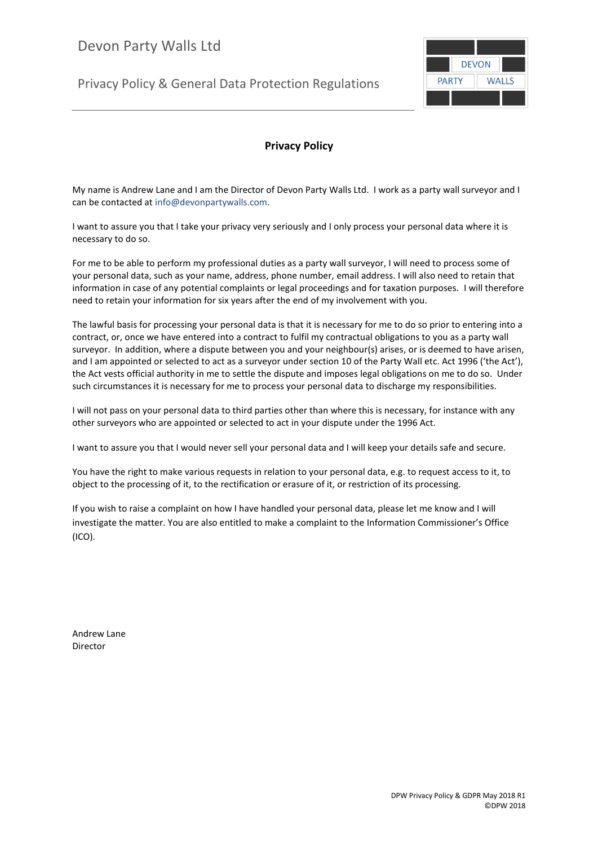Privacy Policy & General Data Protection Regulations



# **Privacy Policy**

My name is Andrew Lane and I am the Director of Devon Party Walls Ltd. I work as a party wall surveyor and I can be contacted at info@devonpartywalls.com.

I want to assure you that I take your privacy very seriously and I only process your personal data where it is necessary to do so.

For me to be able to perform my professional duties as a party wall surveyor, I will need to process some of your personal data, such as your name, address, phone number, email address. I will also need to retain that information in case of any potential complaints or legal proceedings and for taxation purposes. I will therefore need to retain your information for six years after the end of my involvement with you.

The lawful basis for processing your personal data is that it is necessary for me to do so prior to entering into a contract, or, once we have entered into a contract to fulfil my contractual obligations to you as a party wall surveyor. In addition, where a dispute between you and your neighbour(s) arises, or is deemed to have arisen, and I am appointed or selected to act as a surveyor under section 10 of the Party Wall etc. Act 1996 ('the Act'), the Act vests official authority in me to settle the dispute and imposes legal obligations on me to do so. Under such circumstances it is necessary for me to process your personal data to discharge my responsibilities.

I will not pass on your personal data to third parties other than where this is necessary, for instance with any other surveyors who are appointed or selected to act in your dispute under the 1996 Act.

I want to assure you that I would never sell your personal data and I will keep your details safe and secure.

You have the right to make various requests in relation to your personal data, e.g. to request access to it, to object to the processing of it, to the rectification or erasure of it, or restriction of its processing.

If you wish to raise a complaint on how I have handled your personal data, please let me know and I will investigate the matter. You are also entitled to make a complaint to the Information Commissioner's Office (ICO).

Andrew Lane Director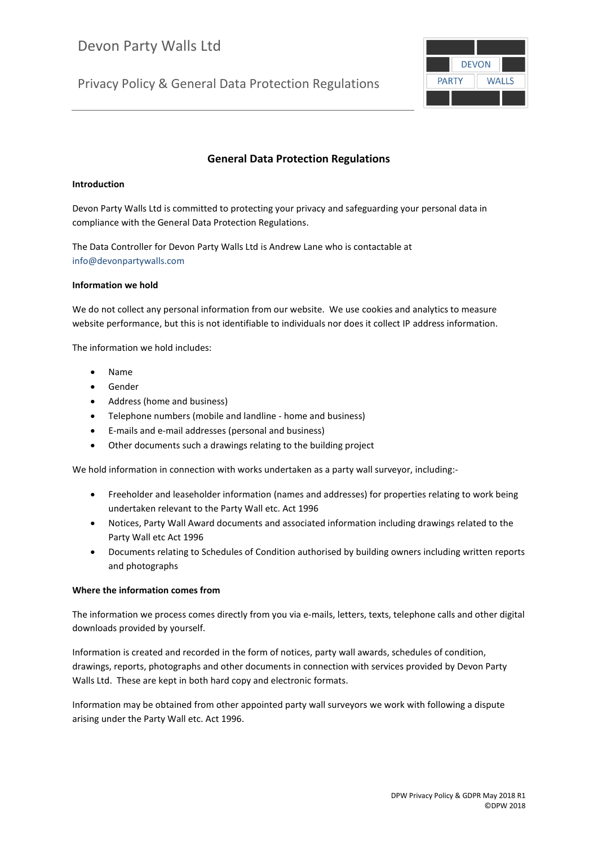Privacy Policy & General Data Protection Regulations



# **General Data Protection Regulations**

## **Introduction**

Devon Party Walls Ltd is committed to protecting your privacy and safeguarding your personal data in compliance with the General Data Protection Regulations.

The Data Controller for Devon Party Walls Ltd is Andrew Lane who is contactable at info@devonpartywalls.com

# **Information we hold**

We do not collect any personal information from our website. We use cookies and analytics to measure website performance, but this is not identifiable to individuals nor does it collect IP address information.

The information we hold includes:

- Name
- Gender
- Address (home and business)
- Telephone numbers (mobile and landline home and business)
- E-mails and e-mail addresses (personal and business)
- Other documents such a drawings relating to the building project

We hold information in connection with works undertaken as a party wall surveyor, including:-

- Freeholder and leaseholder information (names and addresses) for properties relating to work being undertaken relevant to the Party Wall etc. Act 1996
- Notices, Party Wall Award documents and associated information including drawings related to the Party Wall etc Act 1996
- Documents relating to Schedules of Condition authorised by building owners including written reports and photographs

#### **Where the information comes from**

The information we process comes directly from you via e-mails, letters, texts, telephone calls and other digital downloads provided by yourself.

Information is created and recorded in the form of notices, party wall awards, schedules of condition, drawings, reports, photographs and other documents in connection with services provided by Devon Party Walls Ltd. These are kept in both hard copy and electronic formats.

Information may be obtained from other appointed party wall surveyors we work with following a dispute arising under the Party Wall etc. Act 1996.